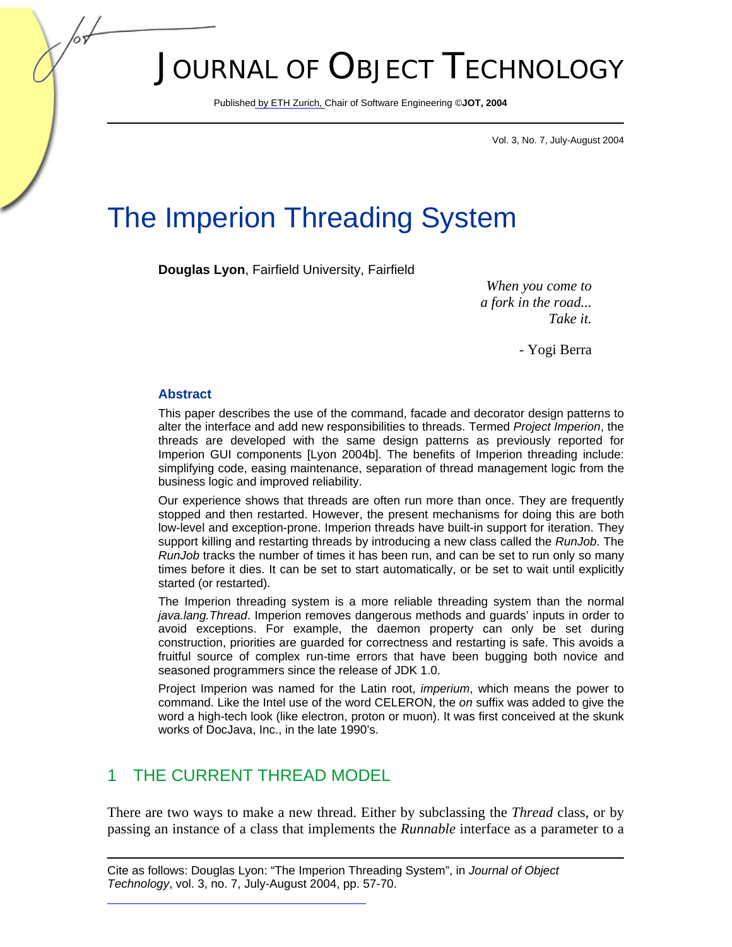# JOURNAL OF OBJECT TECHNOLOGY

Publish[ed by ETH Zurich, Ch](http://www.jot.fm)air of Software Engineering ©**JOT, 2004** 

Vol. 3, No. 7, July-August 2004

## The Imperion Threading System

**Douglas Lyon**, Fairfield University, Fairfield

*When you come to a fork in the road... Take it.* 

- Yogi Berra

#### **Abstract**

This paper describes the use of the command, facade and decorator design patterns to alter the interface and add new responsibilities to threads. Termed *Project Imperion*, the threads are developed with the same design patterns as previously reported for Imperion GUI components [Lyon 2004b]. The benefits of Imperion threading include: simplifying code, easing maintenance, separation of thread management logic from the business logic and improved reliability.

Our experience shows that threads are often run more than once. They are frequently stopped and then restarted. However, the present mechanisms for doing this are both low-level and exception-prone. Imperion threads have built-in support for iteration. They support killing and restarting threads by introducing a new class called the *RunJob*. The *RunJob* tracks the number of times it has been run, and can be set to run only so many times before it dies. It can be set to start automatically, or be set to wait until explicitly started (or restarted).

The Imperion threading system is a more reliable threading system than the normal *java.lang.Thread*. Imperion removes dangerous methods and guards' inputs in order to avoid exceptions. For example, the daemon property can only be set during construction, priorities are guarded for correctness and restarting is safe. This avoids a fruitful source of complex run-time errors that have been bugging both novice and seasoned programmers since the release of JDK 1.0.

Project Imperion was named for the Latin root, *imperium*, which means the power to command. Like the Intel use of the word CELERON, the *on* suffix was added to give the word a high-tech look (like electron, proton or muon). It was first conceived at the skunk works of DocJava, Inc., in the late 1990's.

## 1 THE CURRENT THREAD MODEL

There are two ways to make a new thread. Either by subclassing the *Thread* class, or by passing an instance of a class that implements the *Runnable* interface as a parameter to a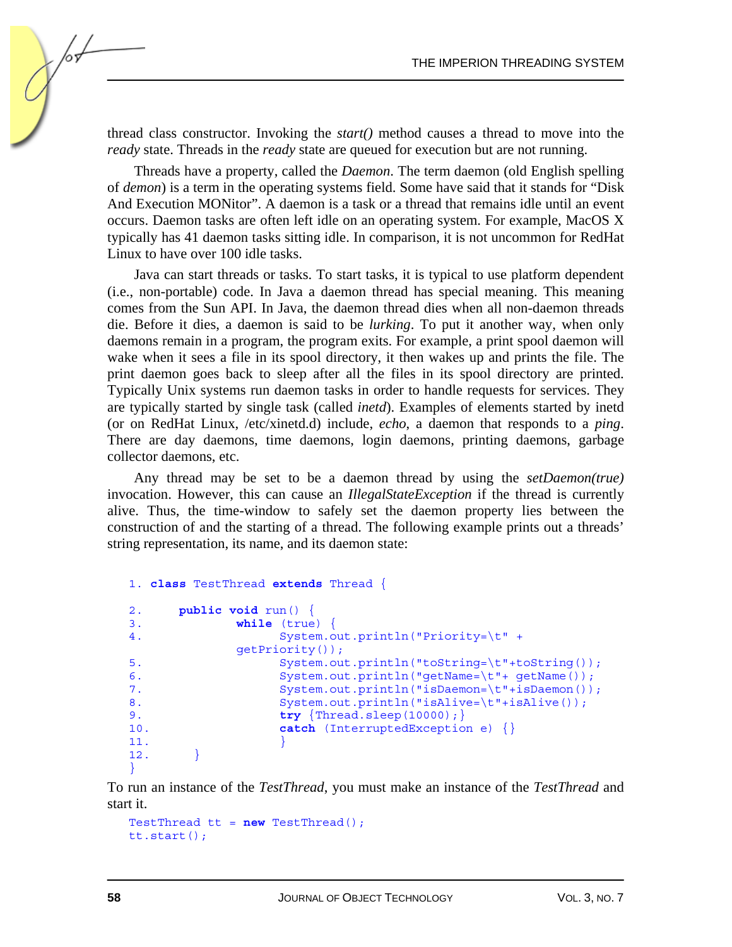thread class constructor. Invoking the *start()* method causes a thread to move into the *ready* state. Threads in the *ready* state are queued for execution but are not running.

Threads have a property, called the *Daemon*. The term daemon (old English spelling of *demon*) is a term in the operating systems field. Some have said that it stands for "Disk And Execution MONitor". A daemon is a task or a thread that remains idle until an event occurs. Daemon tasks are often left idle on an operating system. For example, MacOS X typically has 41 daemon tasks sitting idle. In comparison, it is not uncommon for RedHat Linux to have over 100 idle tasks.

Java can start threads or tasks. To start tasks, it is typical to use platform dependent (i.e., non-portable) code. In Java a daemon thread has special meaning. This meaning comes from the Sun API. In Java, the daemon thread dies when all non-daemon threads die. Before it dies, a daemon is said to be *lurking*. To put it another way, when only daemons remain in a program, the program exits. For example, a print spool daemon will wake when it sees a file in its spool directory, it then wakes up and prints the file. The print daemon goes back to sleep after all the files in its spool directory are printed. Typically Unix systems run daemon tasks in order to handle requests for services. They are typically started by single task (called *inetd*). Examples of elements started by inetd (or on RedHat Linux, /etc/xinetd.d) include, *echo*, a daemon that responds to a *ping*. There are day daemons, time daemons, login daemons, printing daemons, garbage collector daemons, etc.

Any thread may be set to be a daemon thread by using the *setDaemon(true)* invocation. However, this can cause an *IllegalStateException* if the thread is currently alive. Thus, the time-window to safely set the daemon property lies between the construction of and the starting of a thread. The following example prints out a threads' string representation, its name, and its daemon state:

```
1. class TestThread extends Thread { 
2. public void run() { 
3. while (true) { 
4. System.out.println("Priority=\t" +
            getPriority()); 
5. System.out.println("toString=\t"+toString());
6. System.out.println("getName=\t"+ getName());
7. System.out.println("isDaemon=\t"+isDaemon());
8. System.out.println("isAlive=\t"+isAlive());
9. try {Thread.sleep(10000);} 
10. catch (InterruptedException e) {}
11. } 
12.}
```
}

To run an instance of the *TestThread*, you must make an instance of the *TestThread* and start it.

```
TestThread tt = new TestThread(); 
tt.start();
```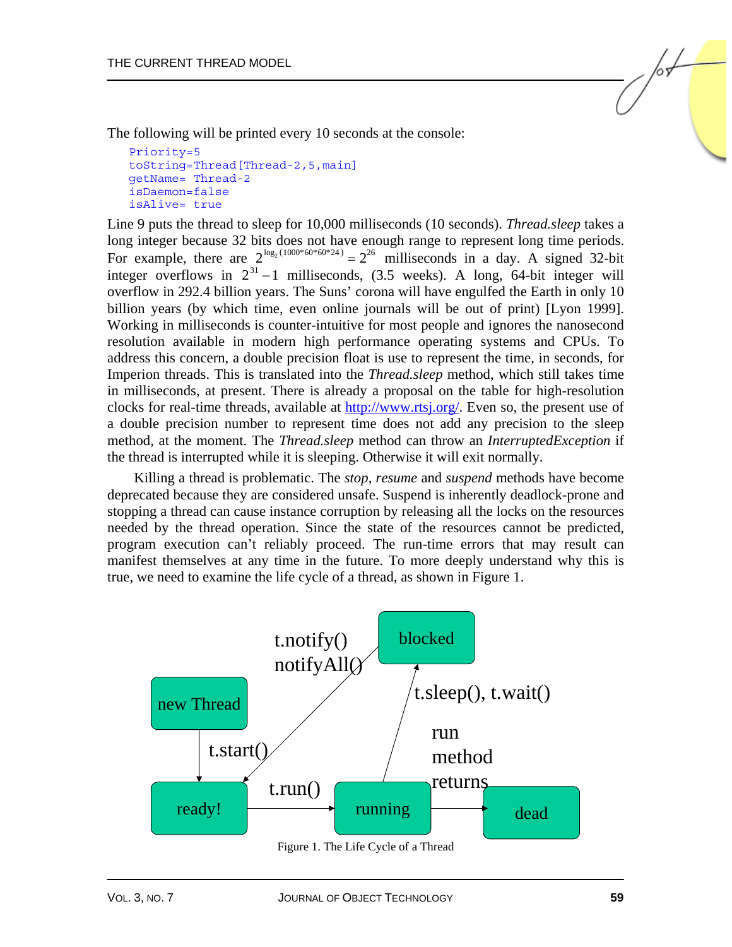The following will be printed every 10 seconds at the console:

```
Priority= 5 
toString=Thread[Thread-2,5,main]
getName= Thread-2 
isDaemon= false 
isAlive= true
```
Line 9 puts the thread to sleep for 10,000 milliseconds (10 seconds). *Thread.sleep* takes a long integer because 32 bits does not have enough range to represent long time periods. For example, there are  $2^{\log_2(1000*60*60*24)} = 2^{26}$  milliseconds in a day. A signed 32-bit integer overflows in  $2^{31} - 1$  milliseconds, (3.5 weeks). A long, 64-bit integer will overflow in 292.4 billion years. The Suns' corona will have engulfed the Earth in only 10 billion years (by which time, even online journals will be out of print) [Lyon 1999]. Working in milliseconds is counter-intuitive for most people and ignores the nanosecond resolution available in modern high performance operating systems and CPUs. To address this concern, a double precision float is use to represent the time, in seconds, for Imperion threads. This is translated into the *Thread.sleep* method, which still takes time in milliseconds, at present. There is already a proposal on the table for high-resolution clocks for real-time threads, available at http://www.rtsj.org/. Even so, the present use of a double precision number to represent time does not add any precision to the sleep method, at the moment. The *Thread.sleep* method can throw an *InterruptedException* if the thread is interrupted while it is sleeping. Otherwise it will exit normally.

Killing a thread is problematic. The *stop*, *resume* and *suspend* methods have become deprecated because they are considered unsafe. Suspend is inherently deadlock-prone and stopping a thread can cause instance corruption by releasing all the locks on the resources needed by the thread operation. Since the state of the resources cannot be predicted, program execution can't reliably proceed. The run-time errors that may result can manifest themselves at any time in the future. To more deeply understand why this is true, we need to examine the life cycle of a thread, as shown in Figure 1.



Figure 1. The Life Cycle of a Thread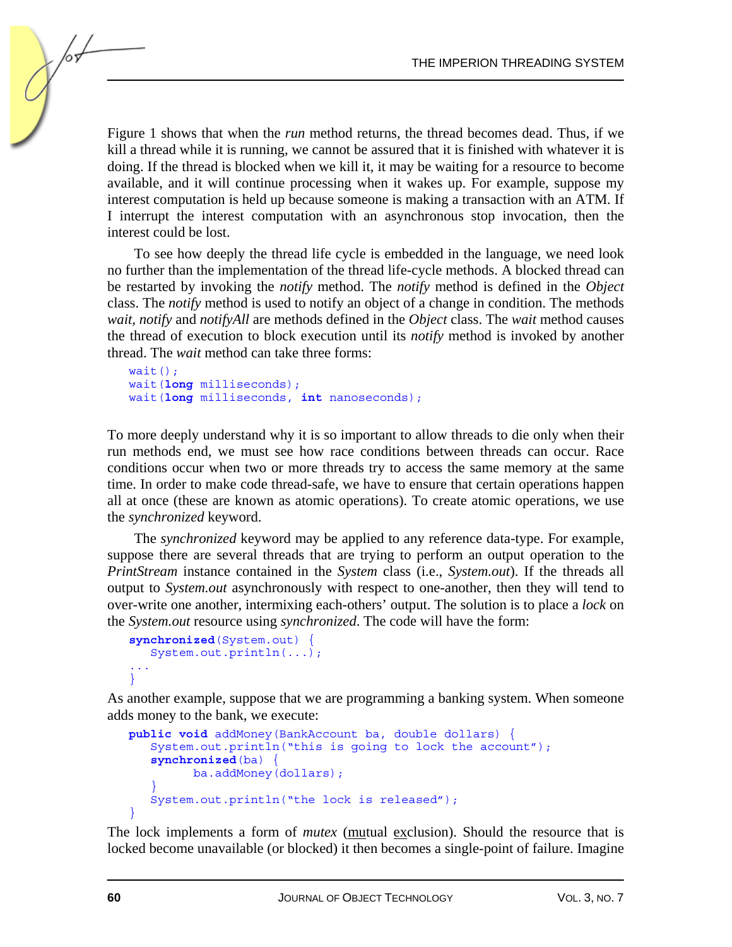Figure 1 shows that when the *run* method returns, the thread becomes dead. Thus, if we kill a thread while it is running, we cannot be assured that it is finished with whatever it is doing. If the thread is blocked when we kill it, it may be waiting for a resource to become available, and it will continue processing when it wakes up. For example, suppose my interest computation is held up because someone is making a transaction with an ATM. If I interrupt the interest computation with an asynchronous stop invocation, then the interest could be lost.

To see how deeply the thread life cycle is embedded in the language, we need look no further than the implementation of the thread life-cycle methods. A blocked thread can be restarted by invoking the *notify* method. The *notify* method is defined in the *Object* class. The *notify* method is used to notify an object of a change in condition. The methods *wait, notify* and *notifyAll* are methods defined in the *Object* class. The *wait* method causes the thread of execution to block execution until its *notify* method is invoked by another thread. The *wait* method can take three forms:

```
wait();
wait(long milliseconds); 
wait(long milliseconds, int nanoseconds);
```
To more deeply understand why it is so important to allow threads to die only when their run methods end, we must see how race conditions between threads can occur. Race conditions occur when two or more threads try to access the same memory at the same time. In order to make code thread-safe, we have to ensure that certain operations happen all at once (these are known as atomic operations). To create atomic operations, we use the *synchronized* keyword.

The *synchronized* keyword may be applied to any reference data-type. For example, suppose there are several threads that are trying to perform an output operation to the *PrintStream* instance contained in the *System* class (i.e., *System.out*). If the threads all output to *System.out* asynchronously with respect to one-another, then they will tend to over-write one another, intermixing each-others' output. The solution is to place a *lock* on the *System.out* resource using *synchronized*. The code will have the form:

```
synchronized(System.out) { 
    System.out.println(...); 
... 
}
```
As another example, suppose that we are programming a banking system. When someone adds money to the bank, we execute:

```
public void addMoney(BankAccount ba, double dollars) { 
    System.out.println("this is going to lock the account"); 
   synchronized(ba) { 
           ba.addMoney(dollars); 
\rightarrow }
    System.out.println("the lock is released"); 
\mathbf{I}
```
The lock implements a form of *mutex* (mutual exclusion). Should the resource that is locked become unavailable (or blocked) it then becomes a single-point of failure. Imagine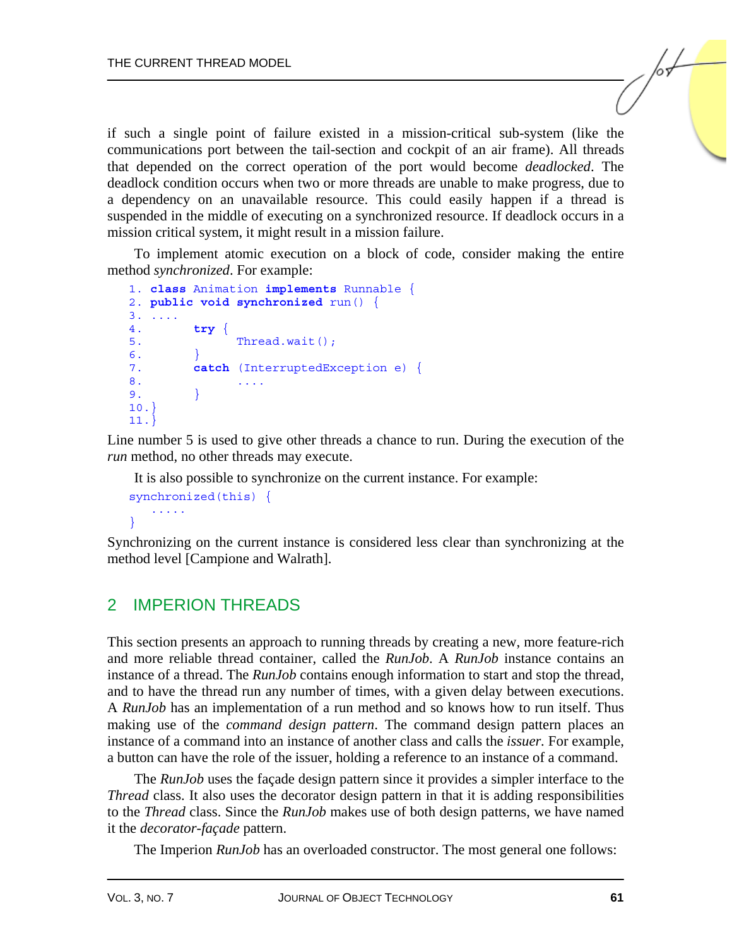if such a single point of failure existed in a mission-critical sub-system (like the communications port between the tail-section and cockpit of an air frame). All threads that depended on the correct operation of the port would become *deadlocked*. The deadlock condition occurs when two or more threads are unable to make progress, due to a dependency on an unavailable resource. This could easily happen if a thread is suspended in the middle of executing on a synchronized resource. If deadlock occurs in a mission critical system, it might result in a mission failure.

To implement atomic execution on a block of code, consider making the entire method *synchronized*. For example:

```
1. class Animation implements Runnable { 
2. public void synchronized run() { 
3. .... 
4. try { 
5. Thread.wait();
6.7. catch (InterruptedException e) { 
8. \cdots<br>9. \}9. } 
10. } 
11. }
```
Line number 5 is used to give other threads a chance to run. During the execution of the *run* method, no other threads may execute.

It is also possible to synchronize on the current instance. For example:

```
synchronized(this) { 
    ..... 
}
```
Synchronizing on the current instance is considered less clear than synchronizing at the method level [Campione and Walrath].

#### 2 IMPERION THREADS

This section presents an approach to running threads by creating a new, more feature-rich and more reliable thread container, called the *RunJob*. A *RunJob* instance contains an instance of a thread. The *RunJob* contains enough information to start and stop the thread, and to have the thread run any number of times, with a given delay between executions. A *RunJob* has an implementation of a run method and so knows how to run itself. Thus making use of the *command design pattern*. The command design pattern places an instance of a command into an instance of another class and calls the *issuer.* For example, a button can have the role of the issuer, holding a reference to an instance of a command.

The *RunJob* uses the façade design pattern since it provides a simpler interface to the *Thread* class. It also uses the decorator design pattern in that it is adding responsibilities to the *Thread* class. Since the *RunJob* makes use of both design patterns, we have named it the *decorator-façade* pattern.

The Imperion *RunJob* has an overloaded constructor. The most general one follows: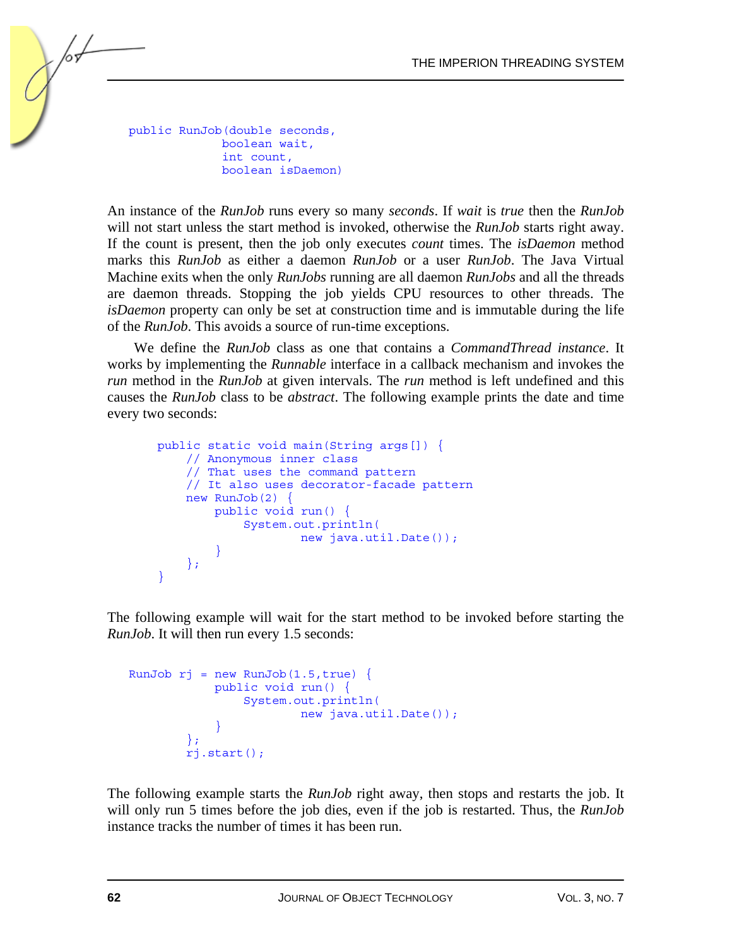public RunJob(double seconds, boolean wait, int count, boolean isDaemon)

An instance of the *RunJob* runs every so many *seconds*. If *wait* is *true* then the *RunJob*  will not start unless the start method is invoked, otherwise the *RunJob* starts right away. If the count is present, then the job only executes *count* times. The *isDaemon* method marks this *RunJob* as either a daemon *RunJob* or a user *RunJob*. The Java Virtual Machine exits when the only *RunJobs* running are all daemon *RunJobs* and all the threads are daemon threads. Stopping the job yields CPU resources to other threads. The *isDaemon* property can only be set at construction time and is immutable during the life of the *RunJob*. This avoids a source of run-time exceptions.

We define the *RunJob* class as one that contains a *CommandThread instance*. It works by implementing the *Runnable* interface in a callback mechanism and invokes the *run* method in the *RunJob* at given intervals. The *run* method is left undefined and this causes the *RunJob* class to be *abstract*. The following example prints the date and time every two seconds:

```
 public static void main(String args[]) { 
         // Anonymous inner class 
         // That uses the command pattern 
         // It also uses decorator-facade pattern 
         new RunJob(2) { 
             public void run() { 
                 System.out.println( 
                          new java.util.Date()); 
 } 
         }; 
     }
```
The following example will wait for the start method to be invoked before starting the *RunJob*. It will then run every 1.5 seconds:

```
RunJob rj = new RunJob(1.5, true) public void run() { 
                 System.out.println( 
                         new java.util.Date()); 
 } 
         }; 
         rj.start();
```
The following example starts the *RunJob* right away, then stops and restarts the job. It will only run 5 times before the job dies, even if the job is restarted. Thus, the *RunJob* instance tracks the number of times it has been run.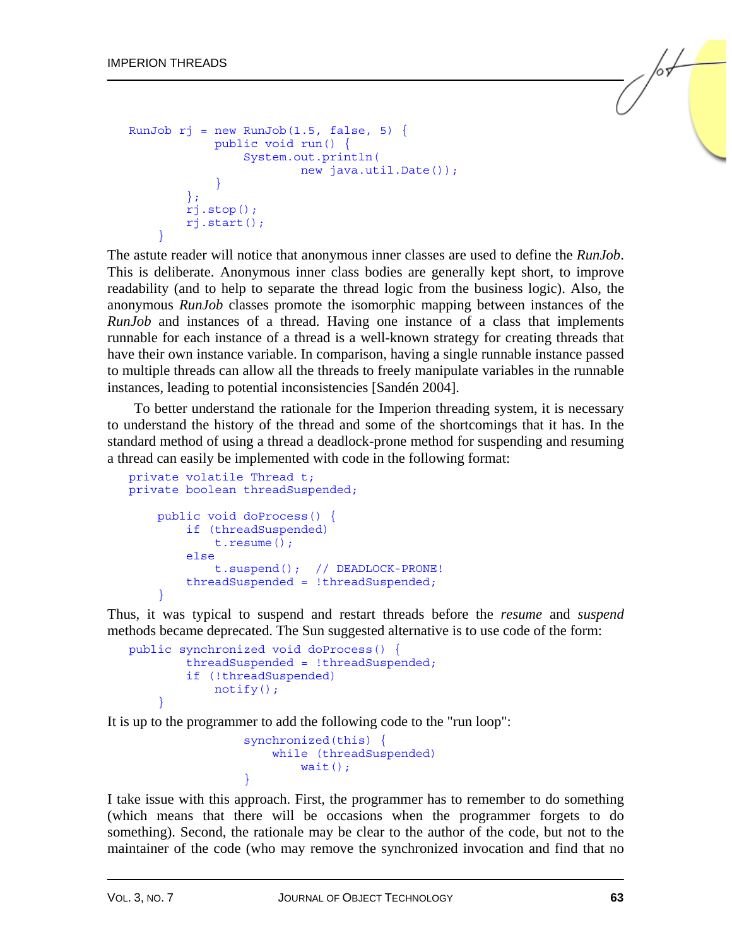```
RunJob rj = new RunJob(1.5, false, 5) {
             public void run() { 
                 System.out.println( 
                         new java.util.Date()); 
 } 
         }; 
         rj.stop(); 
         rj.start(); 
 }
```
The astute reader will notice that anonymous inner classes are used to define the *RunJob*. This is deliberate. Anonymous inner class bodies are generally kept short, to improve readability (and to help to separate the thread logic from the business logic). Also, the anonymous *RunJob* classes promote the isomorphic mapping between instances of the *RunJob* and instances of a thread. Having one instance of a class that implements runnable for each instance of a thread is a well-known strategy for creating threads that have their own instance variable. In comparison, having a single runnable instance passed to multiple threads can allow all the threads to freely manipulate variables in the runnable instances, leading to potential inconsistencies [Sandén 2004].

To better understand the rationale for the Imperion threading system, it is necessary to understand the history of the thread and some of the shortcomings that it has. In the standard method of using a thread a deadlock-prone method for suspending and resuming a thread can easily be implemented with code in the following format:

```
private volatile Thread t; 
private boolean threadSuspended; 
     public void doProcess() { 
          if (threadSuspended) 
              t.resume(); 
          else 
              t.suspend(); // DEADLOCK-PRONE! 
          threadSuspended = !threadSuspended; 
     }
```
Thus, it was typical to suspend and restart threads before the *resume* and *suspend* methods became deprecated. The Sun suggested alternative is to use code of the form:

```
public synchronized void doProcess() { 
         threadSuspended = !threadSuspended; 
         if (!threadSuspended) 
             notify(); 
 }
```
It is up to the programmer to add the following code to the "run loop":

```
 synchronized(this) { 
                  while (threadSuspended) 
                    wait();
 }
```
I take issue with this approach. First, the programmer has to remember to do something (which means that there will be occasions when the programmer forgets to do something). Second, the rationale may be clear to the author of the code, but not to the maintainer of the code (who may remove the synchronized invocation and find that no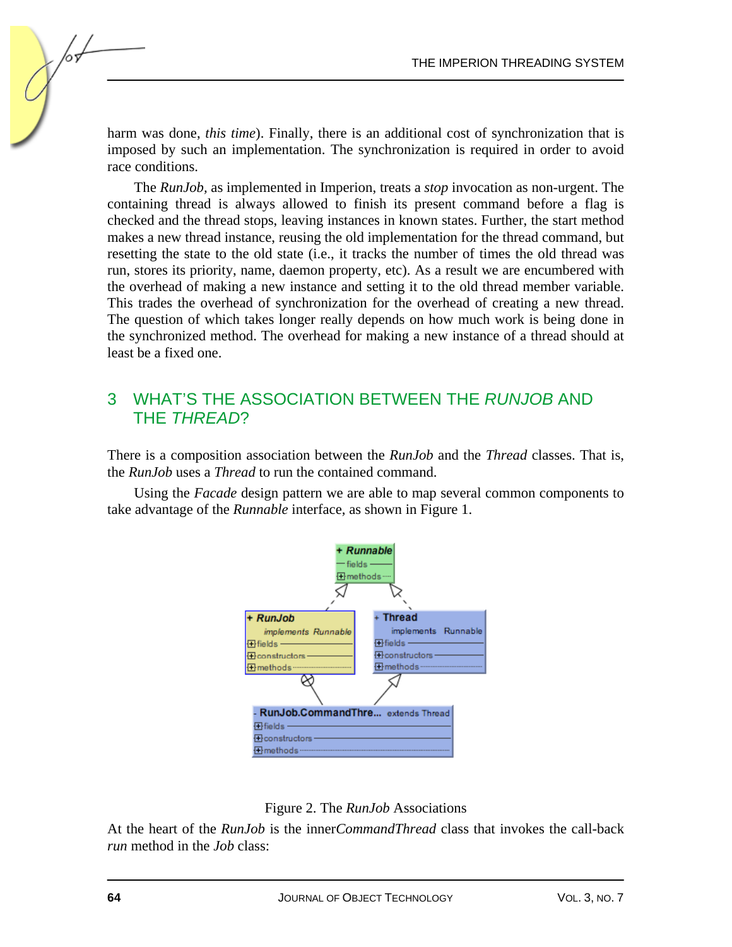harm was done, *this time*). Finally, there is an additional cost of synchronization that is imposed by such an implementation. The synchronization is required in order to avoid race conditions.

The *RunJob,* as implemented in Imperion, treats a *stop* invocation as non-urgent. The containing thread is always allowed to finish its present command before a flag is checked and the thread stops, leaving instances in known states. Further, the start method makes a new thread instance, reusing the old implementation for the thread command, but resetting the state to the old state (i.e., it tracks the number of times the old thread was run, stores its priority, name, daemon property, etc). As a result we are encumbered with the overhead of making a new instance and setting it to the old thread member variable. This trades the overhead of synchronization for the overhead of creating a new thread. The question of which takes longer really depends on how much work is being done in the synchronized method. The overhead for making a new instance of a thread should at least be a fixed one.

#### 3 WHAT'S THE ASSOCIATION BETWEEN THE *RUNJOB* AND THE *THREAD*?

There is a composition association between the *RunJob* and the *Thread* classes. That is, the *RunJob* uses a *Thread* to run the contained command.

Using the *Facade* design pattern we are able to map several common components to take advantage of the *Runnable* interface, as shown in Figure 1.





At the heart of the *RunJob* is the inner*CommandThread* class that invokes the call-back *run* method in the *Job* class: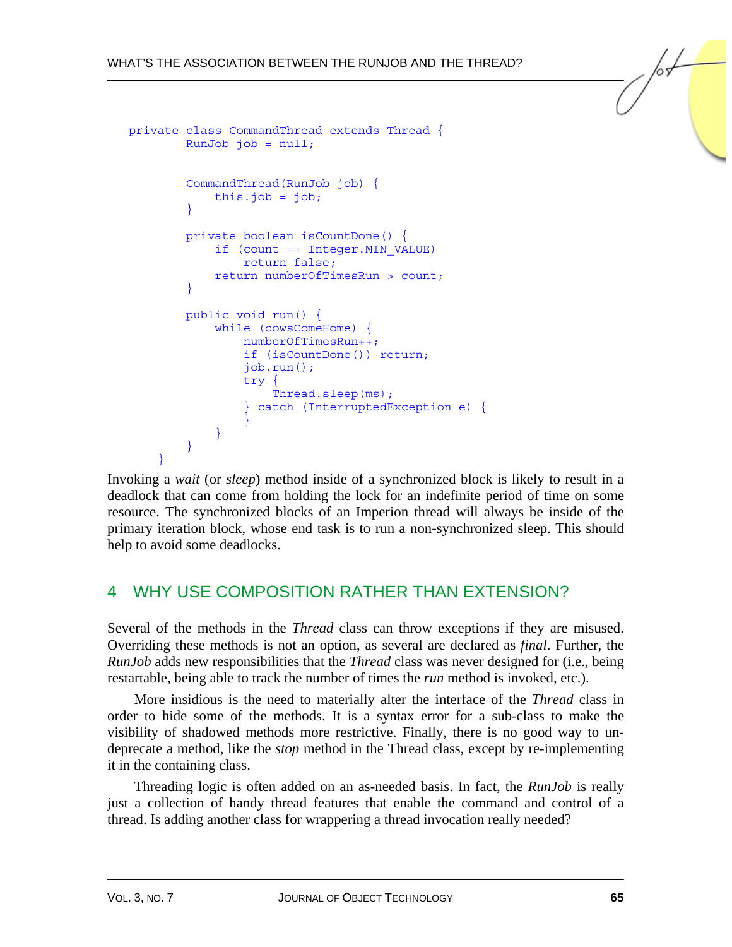```
private class CommandThread extends Thread { 
         RunJob job = null; 
         CommandThread(RunJob job) { 
             this.job = job; 
 } 
         private boolean isCountDone() { 
             if (count == Integer.MIN_VALUE) 
                return false; 
             return numberOfTimesRun > count; 
 } 
         public void run() { 
             while (cowsComeHome) { 
                 numberOfTimesRun++; 
                 if (isCountDone()) return; 
                 job.run(); 
                 try { 
                     Thread.sleep(ms); 
                 } catch (InterruptedException e) { 
 } 
 } 
         } 
 }
```
Invoking a *wait* (or *sleep*) method inside of a synchronized block is likely to result in a deadlock that can come from holding the lock for an indefinite period of time on some resource. The synchronized blocks of an Imperion thread will always be inside of the primary iteration block, whose end task is to run a non-synchronized sleep. This should help to avoid some deadlocks.

## 4 WHY USE COMPOSITION RATHER THAN EXTENSION?

Several of the methods in the *Thread* class can throw exceptions if they are misused. Overriding these methods is not an option, as several are declared as *final*. Further, the *RunJob* adds new responsibilities that the *Thread* class was never designed for (i.e., being restartable, being able to track the number of times the *run* method is invoked, etc.).

More insidious is the need to materially alter the interface of the *Thread* class in order to hide some of the methods. It is a syntax error for a sub-class to make the visibility of shadowed methods more restrictive. Finally, there is no good way to undeprecate a method, like the *stop* method in the Thread class, except by re-implementing it in the containing class.

Threading logic is often added on an as-needed basis. In fact, the *RunJob* is really just a collection of handy thread features that enable the command and control of a thread. Is adding another class for wrappering a thread invocation really needed?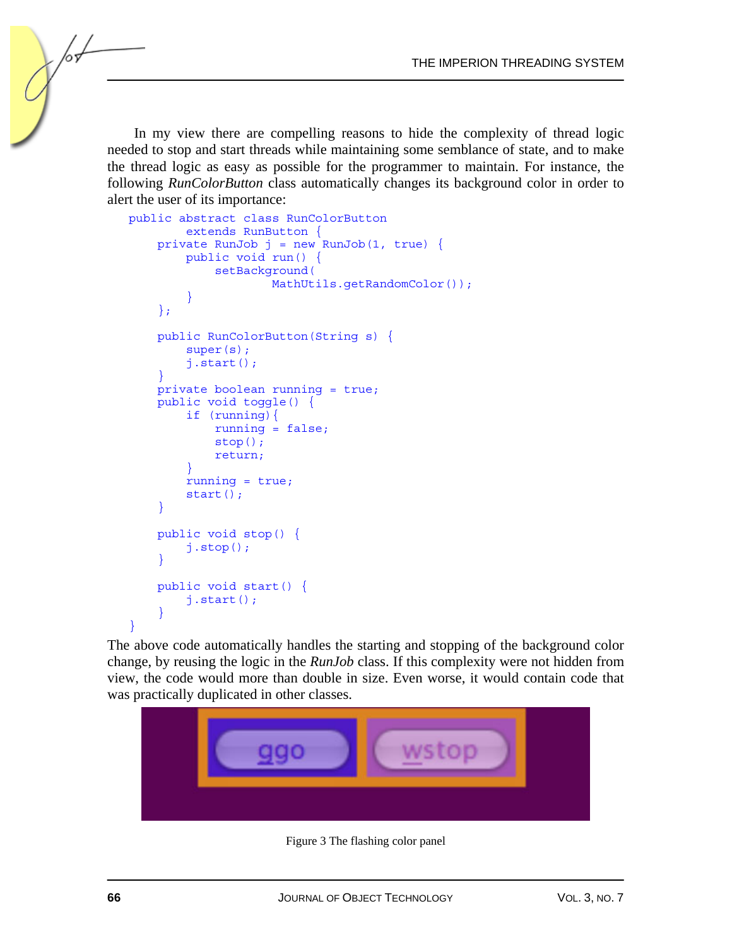In my view there are compelling reasons to hide the complexity of thread logic needed to stop and start threads while maintaining some semblance of state, and to make the thread logic as easy as possible for the programmer to maintain. For instance, the following *RunColorButton* class automatically changes its background color in order to alert the user of its importance:

```
public abstract class RunColorButton 
         extends RunButton { 
    private RunJob j = new RunJob(1, true) {
         public void run() { 
             setBackground( 
                     MathUtils.qetRandomColor());
 } 
     }; 
     public RunColorButton(String s) { 
         super(s); 
         j.start(); 
 } 
     private boolean running = true; 
     public void toggle() { 
         if (running){ 
             running = false; 
             stop(); 
             return; 
 } 
        running = true;
         start(); 
 } 
     public void stop() { 
         j.stop(); 
 } 
     public void start() { 
         j.start(); 
 } 
}
```
The above code automatically handles the starting and stopping of the background color change, by reusing the logic in the *RunJob* class. If this complexity were not hidden from view, the code would more than double in size. Even worse, it would contain code that was practically duplicated in other classes.



Figure 3 The flashing color panel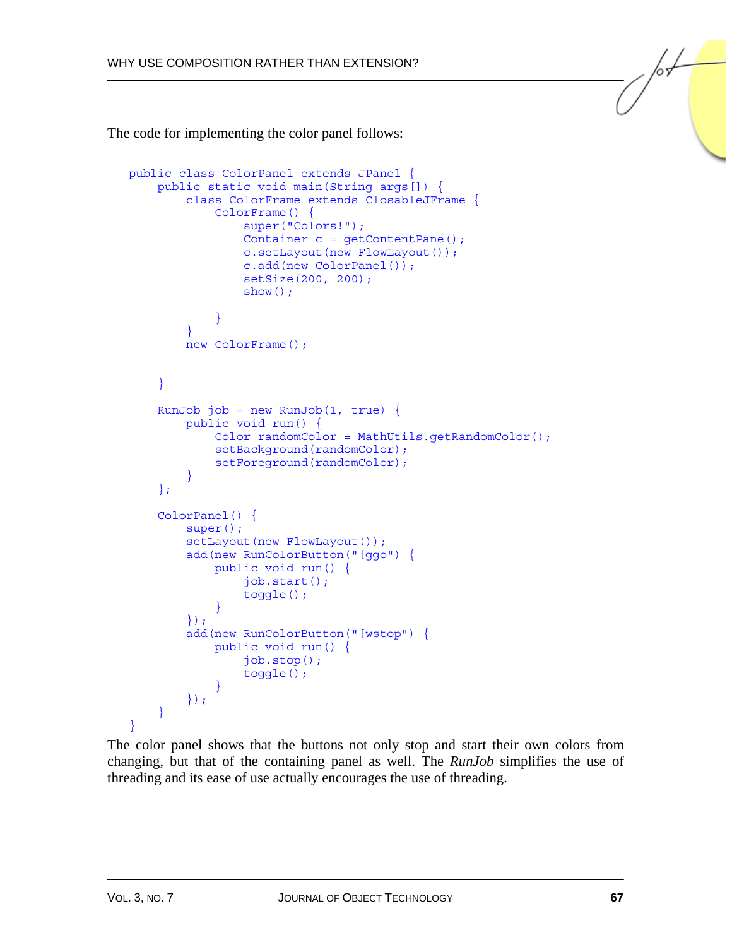The code for implementing the color panel follows:

```
public class ColorPanel extends JPanel { 
     public static void main(String args[]) { 
         class ColorFrame extends ClosableJFrame { 
             ColorFrame() { 
                 super("Colors!"); 
                 Container c = getContentPane(); 
                 c.setLayout(new FlowLayout()); 
                 c.add(new ColorPanel()); 
                 setSize(200, 200); 
                show();
 } 
 } 
         new ColorFrame(); 
     } 
    RunJob job = new RunJob(1, true) public void run() { 
             Color randomColor = MathUtils.getRandomColor(); 
            setBackground(randomColor);
            setForeground(randomColor);
 } 
     }; 
     ColorPanel() { 
        super();
        setLayout (new FlowLayout () ) ;
         add(new RunColorButton("[ggo") { 
             public void run() { 
                 job.start(); 
                 toggle(); 
 } 
         }); 
         add(new RunColorButton("[wstop") { 
             public void run() { 
                 job.stop(); 
                 toggle(); 
 } 
         }); 
     }
```
The color panel shows that the buttons not only stop and start their own colors from changing, but that of the containing panel as well. The *RunJob* simplifies the use of threading and its ease of use actually encourages the use of threading.

 $\mathfrak{g}$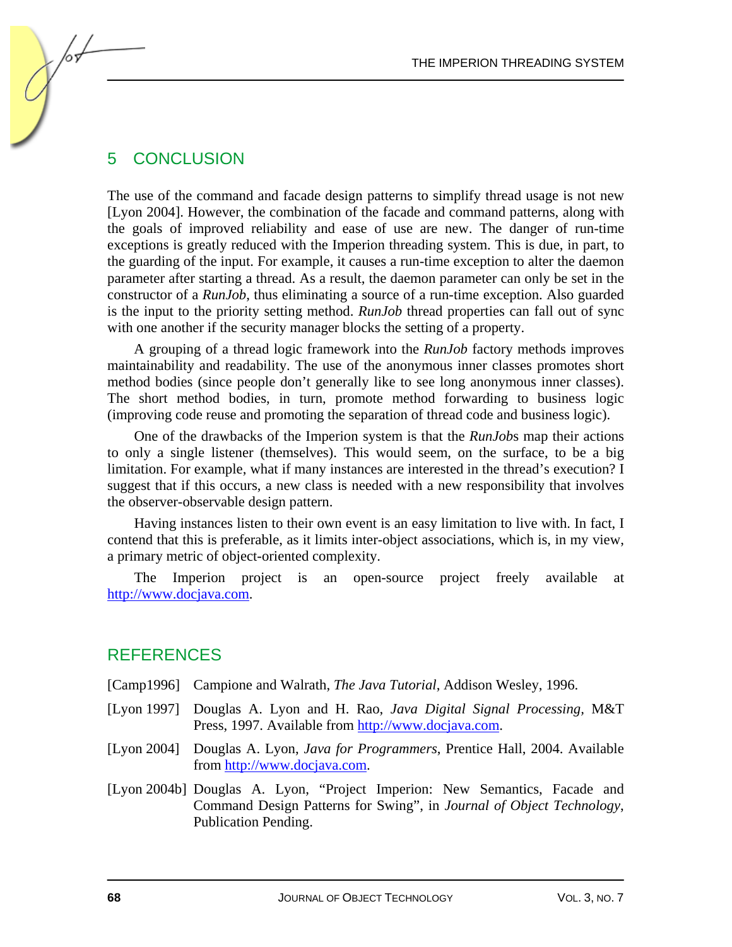#### 5 CONCLUSION

for-

The use of the command and facade design patterns to simplify thread usage is not new [Lyon 2004]. However, the combination of the facade and command patterns, along with the goals of improved reliability and ease of use are new. The danger of run-time exceptions is greatly reduced with the Imperion threading system. This is due, in part, to the guarding of the input. For example, it causes a run-time exception to alter the daemon parameter after starting a thread. As a result, the daemon parameter can only be set in the constructor of a *RunJob*, thus eliminating a source of a run-time exception. Also guarded is the input to the priority setting method. *RunJob* thread properties can fall out of sync with one another if the security manager blocks the setting of a property.

A grouping of a thread logic framework into the *RunJob* factory methods improves maintainability and readability. The use of the anonymous inner classes promotes short method bodies (since people don't generally like to see long anonymous inner classes). The short method bodies, in turn, promote method forwarding to business logic (improving code reuse and promoting the separation of thread code and business logic).

One of the drawbacks of the Imperion system is that the *RunJob*s map their actions to only a single listener (themselves). This would seem, on the surface, to be a big limitation. For example, what if many instances are interested in the thread's execution? I suggest that if this occurs, a new class is needed with a new responsibility that involves the observer-observable design pattern.

Having instances listen to their own event is an easy limitation to live with. In fact, I contend that this is preferable, as it limits inter-object associations, which is, in my view, a primary metric of object-oriented complexity.

The Imperion project is an open-source project freely available at [http://www.docjava.com.](http://www.docjava.com) 

#### REFERENCES

- [Camp1996] Campione and Walrath, *The Java Tutorial*, Addison Wesley, 1996.
- [Lyon 1997] Douglas A. Lyon and H. Rao, *Java Digital Signal Processing,* M&T Press, 1997. Available fro[m http://www.docjava.com.](http://www.docjava.com)
- [Lyon 2004] Douglas A. Lyon, *Java for Programmers*, Prentice Hall, 2004. Available fro[m http://www.docjava.com.](http://www.docjava.com)
- [Lyon 2004b] Douglas A. Lyon, "Project Imperion: New Semantics, Facade and Command Design Patterns for Swing", in *Journal of Object Technology*, Publication Pending.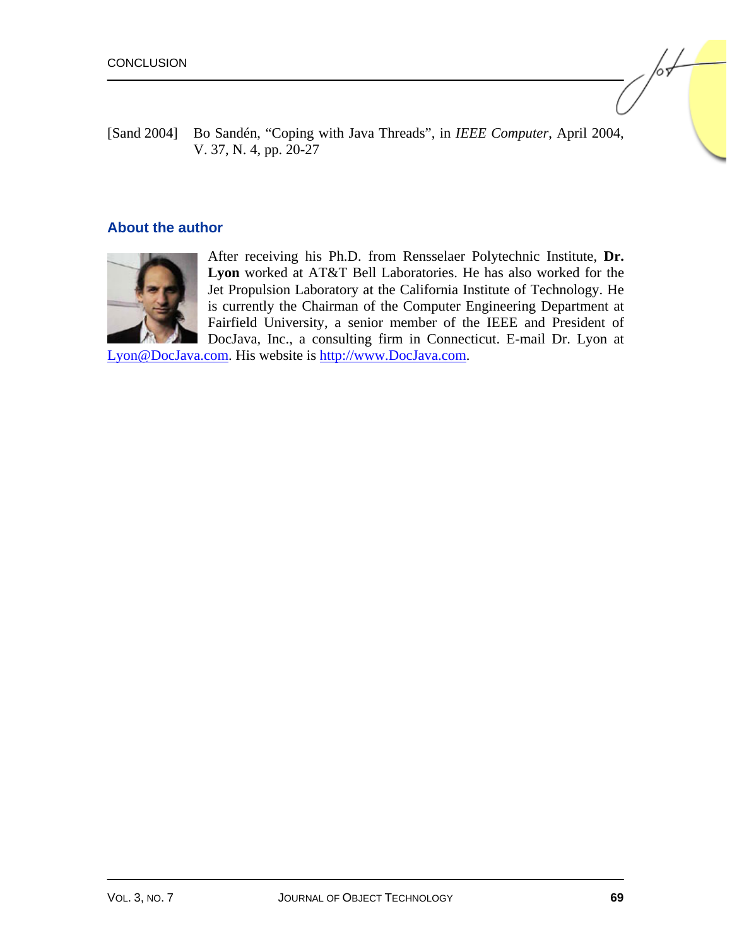[Sand 2004] Bo Sandén, "Coping with Java Threads", in *IEEE Computer*, April 2004, V. 37, N. 4, pp. 20-27

#### **About the author**



After receiving his Ph.D. from Rensselaer Polytechnic Institute, **Dr. Lyon** worked at AT&T Bell Laboratories. He has also worked for the Jet Propulsion Laboratory at the California Institute of Technology. He is currently the Chairman of the Computer Engineering Department at Fairfield University, a senior member of the IEEE and President of DocJava, Inc., a consulting firm in Connecticut. E-mail Dr. Lyon at

[Lyon@DocJava.com. H](mailto:lyon@docjava.com)is website i[s http://www.DocJava.com.](http://www.docjava.com) 

/or